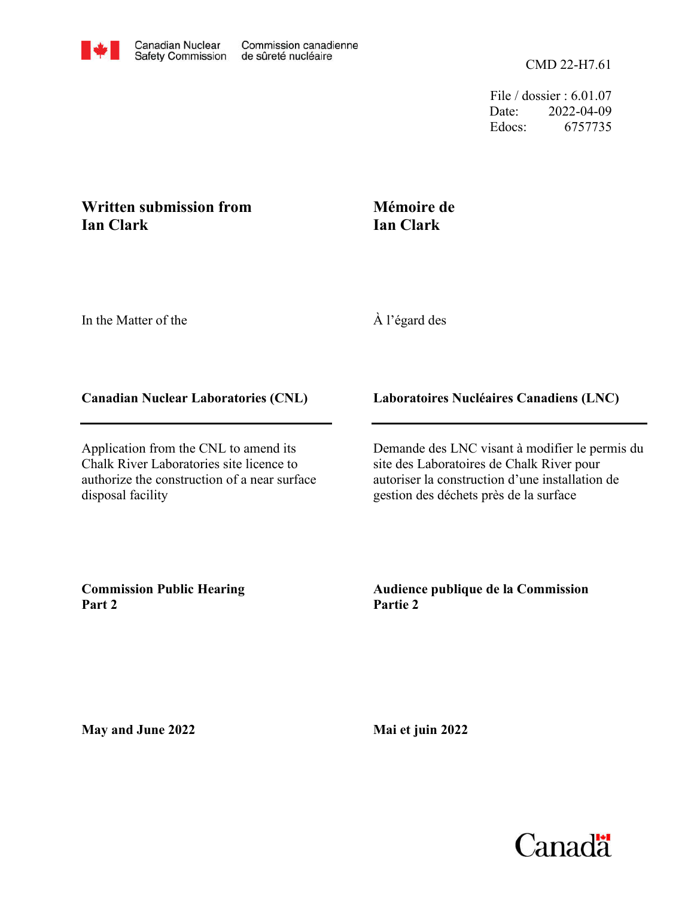File / dossier : 6.01.07 Date: 2022-04-09 Edocs: 6757735

## **Written submission from Ian Clark**

## **Mémoire de Ian Clark**

In the Matter of the

À l'égard des

## **Canadian Nuclear Laboratories (CNL)**

Application from the CNL to amend its Chalk River Laboratories site licence to authorize the construction of a near surface disposal facility

**Laboratoires Nucléaires Canadiens (LNC)**

Demande des LNC visant à modifier le permis du site des Laboratoires de Chalk River pour autoriser la construction d'une installation de gestion des déchets près de la surface

**Commission Public Hearing Part 2**

**Audience publique de la Commission Partie 2**

**May and June 2022**

**Mai et juin 2022**

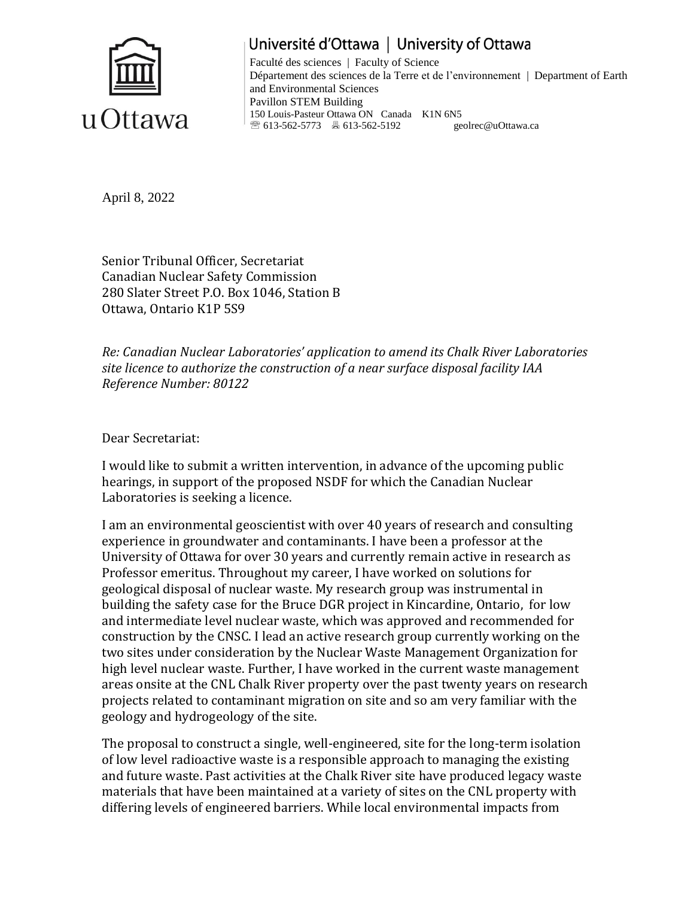

Université d'Ottawa | University of Ottawa Faculté des sciences | Faculty of Science Département des sciences de la Terre et de l'environnement | Department of Earth and Environmental Sciences Pavillon STEM Building 150 Louis-Pasteur Ottawa ON Canada K1N 6N5 <sup>2</sup><sup>®</sup> 613-562-5773 **■ 613-562-5192** geolrec@uOttawa.ca

April 8, 2022

Senior Tribunal Officer, Secretariat Canadian Nuclear Safety Commission 280 Slater Street P.O. Box 1046, Station B Ottawa, Ontario K1P 5S9

*Re: Canadian Nuclear Laboratories' application to amend its Chalk River Laboratories site licence to authorize the construction of a near surface disposal facility IAA Reference Number: 80122*

Dear Secretariat:

I would like to submit a written intervention, in advance of the upcoming public hearings, in support of the proposed NSDF for which the Canadian Nuclear Laboratories is seeking a licence.

I am an environmental geoscientist with over 40 years of research and consulting experience in groundwater and contaminants. I have been a professor at the University of Ottawa for over 30 years and currently remain active in research as Professor emeritus. Throughout my career, I have worked on solutions for geological disposal of nuclear waste. My research group was instrumental in building the safety case for the Bruce DGR project in Kincardine, Ontario, for low and intermediate level nuclear waste, which was approved and recommended for construction by the CNSC. I lead an active research group currently working on the two sites under consideration by the Nuclear Waste Management Organization for high level nuclear waste. Further, I have worked in the current waste management areas onsite at the CNL Chalk River property over the past twenty years on research projects related to contaminant migration on site and so am very familiar with the geology and hydrogeology of the site.

The proposal to construct a single, well-engineered, site for the long-term isolation of low level radioactive waste is a responsible approach to managing the existing and future waste. Past activities at the Chalk River site have produced legacy waste materials that have been maintained at a variety of sites on the CNL property with differing levels of engineered barriers. While local environmental impacts from